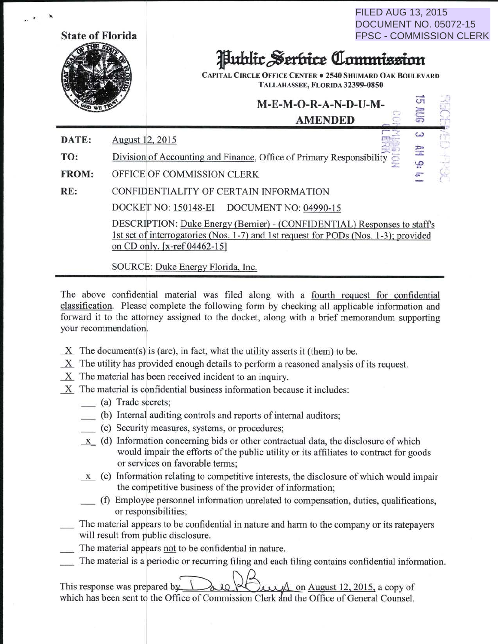| <b>State of Florida</b> |                 | FILED AUG 13, 2015<br><b>DOCUMENT NO. 05072-15</b><br><b>FPSC - COMMISSION CLERK</b><br><b>Public Serbice Commission</b><br><b>CAPITAL CIRCLE OFFICE CENTER . 2540 SHUMARD OAK BOULEVARD</b><br>TALLAHASSEE, FLORIDA 32399-0850 |                                                                                                                                                                 |  |                   |           |
|-------------------------|-----------------|---------------------------------------------------------------------------------------------------------------------------------------------------------------------------------------------------------------------------------|-----------------------------------------------------------------------------------------------------------------------------------------------------------------|--|-------------------|-----------|
|                         |                 |                                                                                                                                                                                                                                 | M-E-M-O-R-A-N-D-U-M-<br><b>AMENDED</b>                                                                                                                          |  |                   |           |
| DATE:                   | August 12, 2015 |                                                                                                                                                                                                                                 |                                                                                                                                                                 |  | $\omega$          | $ext{GP}$ |
| TO:                     |                 |                                                                                                                                                                                                                                 | Division of Accounting and Finance, Office of Primary Responsibility                                                                                            |  | 孕<br>$\mathbf{Q}$ |           |
| <b>FROM:</b>            |                 | OFFICE OF COMMISSION CLERK                                                                                                                                                                                                      |                                                                                                                                                                 |  |                   |           |
| RE:                     |                 |                                                                                                                                                                                                                                 | CONFIDENTIALITY OF CERTAIN INFORMATION                                                                                                                          |  |                   |           |
|                         |                 |                                                                                                                                                                                                                                 | DOCKET NO: 150148-EI DOCUMENT NO: 04990-15                                                                                                                      |  |                   |           |
|                         |                 | on CD only. [x-ref 04462-15]<br>SOURCE: Duke Energy Florida, Inc.                                                                                                                                                               | DESCRIPTION: Duke Energy (Bernier) - (CONFIDENTIAL) Responses to staff's<br>1st set of interrogatories (Nos. 1-7) and 1st request for PODs (Nos. 1-3); provided |  |                   |           |

 $FII F. AII 0.10$ 

The above confidential material was filed along with a fourth request for confidential classification. Please complete the following form by checking all applicable information and forward it to the attorney assigned to the docket, along with a brief memorandum supporting your recommendation.

- $X$  The document(s) is (are), in fact, what the utility asserts it (them) to be.
- \_x\_ The utility has provided enough details to perform a reasoned analysis of its request.
- \_x\_ The material has been received incident to an inquiry.
- \_x\_ The material is confidential business information because it includes:
	- \_ (a) Trade secrets;
	- \_ (b) Internal auditing controls and reports of internal auditors;
	- \_ (c) Security measures, systems, or procedures;
	- $x$  (d) Information concerning bids or other contractual data, the disclosure of which would impair the efforts of the public utility or its affiliates to contract for goods or services on favorable terms;
	- $\underline{x}$  (e) Information relating to competitive interests, the disclosure of which would impair the competitive business of the provider of information;
		- \_ (f) Employee personnel information unrelated to compensation, duties, qualifications, or responsibilities;
- The material appears to be confidential in nature and harm to the company or its ratepayers will result from public disclosure.
- The material appears not to be confidential in nature.
- The material is a periodic or recurring filing and each filing contains confidential information.

This response was prepared by  $\bigcup_{\alpha\downarrow 0}$  on August 12, 2015, a copy of which has been sent to the Office of Commission Clerk and the Office of General Counsel.